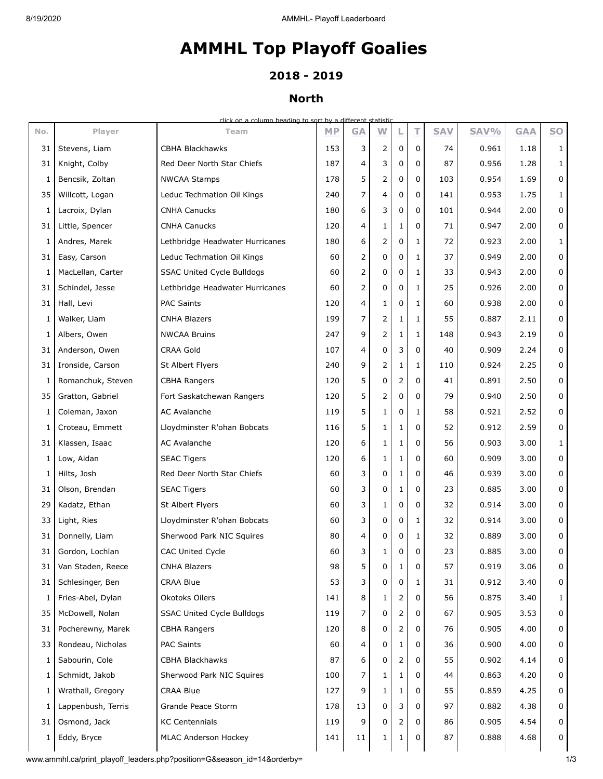# **AMMHL Top Playoff Goalies**

## **2018 - 2019**

## **North**

click on a column heading to sort by a different statistic

| No. | Player             | Team                              | <b>MP</b> | <b>GA</b> | W            |              | т           | <b>SAV</b> | SAV%  | <b>GAA</b> | <b>SO</b>    |
|-----|--------------------|-----------------------------------|-----------|-----------|--------------|--------------|-------------|------------|-------|------------|--------------|
| 31  | Stevens, Liam      | CBHA Blackhawks                   | 153       | 3         | 2            | 0            | 0           | 74         | 0.961 | 1.18       | 1            |
| 31  | Knight, Colby      | Red Deer North Star Chiefs        | 187       | 4         | 3            | 0            | 0           | 87         | 0.956 | 1.28       | $\mathbf{1}$ |
| 1   | Bencsik, Zoltan    | <b>NWCAA Stamps</b>               | 178       | 5         | 2            | 0            | 0           | 103        | 0.954 | 1.69       | $\mathbf 0$  |
| 35  | Willcott, Logan    | Leduc Techmation Oil Kings        | 240       | 7         | 4            | 0            | 0           | 141        | 0.953 | 1.75       | $\mathbf{1}$ |
| 1   | Lacroix, Dylan     | <b>CNHA Canucks</b>               | 180       | 6         | 3            | 0            | $\mathbf 0$ | 101        | 0.944 | 2.00       | $\mathbf 0$  |
| 31  | Little, Spencer    | <b>CNHA Canucks</b>               | 120       | 4         | 1            | 1            | 0           | 71         | 0.947 | 2.00       | $\mathbf 0$  |
| 1   | Andres, Marek      | Lethbridge Headwater Hurricanes   | 180       | 6         | 2            | 0            | 1           | 72         | 0.923 | 2.00       | $\mathbf{1}$ |
| 31  | Easy, Carson       | Leduc Techmation Oil Kings        | 60        | 2         | 0            | 0            | 1           | 37         | 0.949 | 2.00       | $\mathbf 0$  |
| 1   | MacLellan, Carter  | <b>SSAC United Cycle Bulldogs</b> | 60        | 2         | 0            | 0            | 1           | 33         | 0.943 | 2.00       | $\mathbf 0$  |
| 31  | Schindel, Jesse    | Lethbridge Headwater Hurricanes   | 60        | 2         | 0            | 0            | 1           | 25         | 0.926 | 2.00       | $\mathbf 0$  |
| 31  | Hall, Levi         | <b>PAC Saints</b>                 | 120       | 4         | 1            | 0            | 1           | 60         | 0.938 | 2.00       | 0            |
| 1   | Walker, Liam       | <b>CNHA Blazers</b>               | 199       | 7         | 2            | $\mathbf{1}$ | 1           | 55         | 0.887 | 2.11       | $\mathbf 0$  |
| 1   | Albers, Owen       | <b>NWCAA Bruins</b>               | 247       | 9         | 2            | 1            | 1           | 148        | 0.943 | 2.19       | $\mathbf 0$  |
| 31  | Anderson, Owen     | CRAA Gold                         | 107       | 4         | 0            | 3            | 0           | 40         | 0.909 | 2.24       | 0            |
| 31  | Ironside, Carson   | St Albert Flyers                  | 240       | 9         | 2            | $\mathbf{1}$ | 1           | 110        | 0.924 | 2.25       | $\mathbf 0$  |
| 1   | Romanchuk, Steven  | <b>CBHA Rangers</b>               | 120       | 5         | 0            | 2            | 0           | 41         | 0.891 | 2.50       | $\mathbf 0$  |
| 35  | Gratton, Gabriel   | Fort Saskatchewan Rangers         | 120       | 5         | 2            | 0            | 0           | 79         | 0.940 | 2.50       | $\mathbf 0$  |
| 1   | Coleman, Jaxon     | AC Avalanche                      | 119       | 5         | $\mathbf{1}$ | 0            | 1           | 58         | 0.921 | 2.52       | $\mathbf 0$  |
| 1   | Croteau, Emmett    | Lloydminster R'ohan Bobcats       | 116       | 5         | 1            | 1            | $\mathbf 0$ | 52         | 0.912 | 2.59       | $\mathbf 0$  |
| 31  | Klassen, Isaac     | AC Avalanche                      | 120       | 6         | 1            | 1            | 0           | 56         | 0.903 | 3.00       | $\mathbf{1}$ |
| 1   | Low, Aidan         | <b>SEAC Tigers</b>                | 120       | 6         | 1            | 1            | $\mathbf 0$ | 60         | 0.909 | 3.00       | $\mathbf 0$  |
| 1   | Hilts, Josh        | Red Deer North Star Chiefs        | 60        | 3         | 0            | 1            | 0           | 46         | 0.939 | 3.00       | $\mathbf 0$  |
| 31  | Olson, Brendan     | <b>SEAC Tigers</b>                | 60        | 3         | 0            | $\mathbf{1}$ | 0           | 23         | 0.885 | 3.00       | $\mathbf 0$  |
| 29  | Kadatz, Ethan      | St Albert Flyers                  | 60        | 3         | $\mathbf{1}$ | 0            | 0           | 32         | 0.914 | 3.00       | 0            |
| 33  | Light, Ries        | Lloydminster R'ohan Bobcats       | 60        | 3         | 0            | 0            | 1           | 32         | 0.914 | 3.00       | $\mathbf 0$  |
| 31  | Donnelly, Liam     | Sherwood Park NIC Squires         | 80        | 4         | 0            | 0            | 1           | 32         | 0.889 | 3.00       | $\mathbf 0$  |
| 31  | Gordon, Lochlan    | <b>CAC United Cycle</b>           | 60        | 3         | 1            | 0            | 0           | 23         | 0.885 | 3.00       | 0            |
| 31  | Van Staden, Reece  | <b>CNHA Blazers</b>               | 98        | 5         | 0            | ı            | 0           | 57         | 0.919 | 3.06       | 0            |
| 31  | Schlesinger, Ben   | <b>CRAA Blue</b>                  | 53        | 3         | 0            | 0            | 1           | 31         | 0.912 | 3.40       | 0            |
| 1   | Fries-Abel, Dylan  | Okotoks Oilers                    | 141       | 8         | 1            | 2            | 0           | 56         | 0.875 | 3.40       | 1            |
| 35  | McDowell, Nolan    | <b>SSAC United Cycle Bulldogs</b> | 119       | 7         | 0            | 2            | 0           | 67         | 0.905 | 3.53       | $\mathbf 0$  |
| 31  | Pocherewny, Marek  | <b>CBHA Rangers</b>               | 120       | 8         | 0            | 2            | 0           | 76         | 0.905 | 4.00       | 0            |
| 33  | Rondeau, Nicholas  | <b>PAC Saints</b>                 | 60        | 4         | 0            | 1            | 0           | 36         | 0.900 | 4.00       | 0            |
| 1   | Sabourin, Cole     | CBHA Blackhawks                   | 87        | 6         | 0            | 2            | 0           | 55         | 0.902 | 4.14       | 0            |
| 1   | Schmidt, Jakob     | Sherwood Park NIC Squires         | 100       | 7         | 1            | 1            | 0           | 44         | 0.863 | 4.20       | 0            |
| 1   | Wrathall, Gregory  | <b>CRAA Blue</b>                  | 127       | 9         | 1            | 1            | 0           | 55         | 0.859 | 4.25       | 0            |
| 1   | Lappenbush, Terris | Grande Peace Storm                | 178       | 13        | 0            | 3            | 0           | 97         | 0.882 | 4.38       | $\mathbf 0$  |
| 31  | Osmond, Jack       | <b>KC Centennials</b>             | 119       | 9         | 0            | 2            | 0           | 86         | 0.905 | 4.54       | 0            |
| 1   | Eddy, Bryce        | MLAC Anderson Hockey              | 141       | 11        | 1            | 1            | 0           | 87         | 0.888 | 4.68       | 0            |
|     |                    |                                   |           |           |              |              |             |            |       |            |              |

www.ammhl.ca/print\_playoff\_leaders.php?position=G&season\_id=14&orderby= 1/3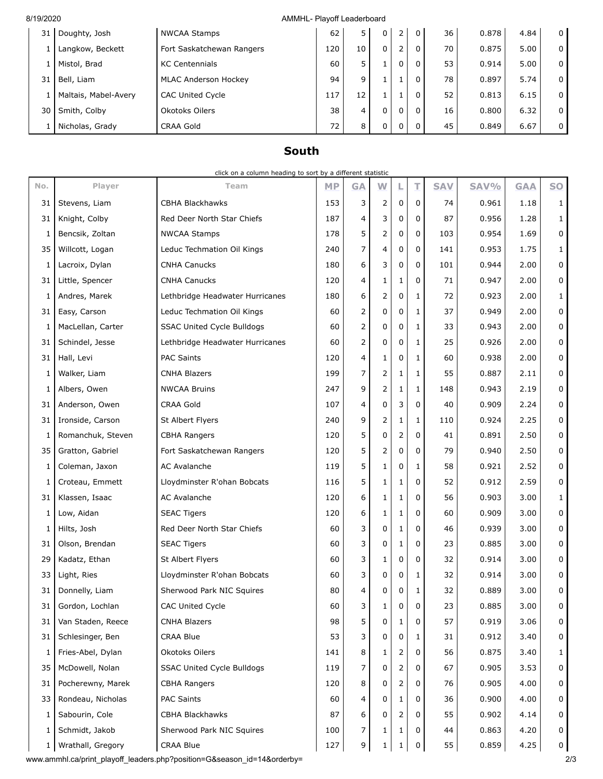#### 8/19/2020 AMMHL- Playoff Leaderboard

| 31 | Doughty, Josh        | <b>NWCAA Stamps</b>         | 62  | 5  | 0 | ∠ | 36 | 0.878 | 4.84 | $\overline{0}$ |
|----|----------------------|-----------------------------|-----|----|---|---|----|-------|------|----------------|
|    | Langkow, Beckett     | Fort Saskatchewan Rangers   | 120 | 10 | 0 | ے | 70 | 0.875 | 5.00 | $\overline{0}$ |
|    | Mistol, Brad         | <b>KC Centennials</b>       | 60  | 5  |   | 0 | 53 | 0.914 | 5.00 | $\overline{0}$ |
| 31 | Bell, Liam           | <b>MLAC Anderson Hockey</b> | 94  | 9  |   |   | 78 | 0.897 | 5.74 | $\overline{0}$ |
|    | Maltais, Mabel-Avery | <b>CAC United Cycle</b>     | 117 | 12 |   |   | 52 | 0.813 | 6.15 | $\overline{0}$ |
| 30 | Smith, Colby         | Okotoks Oilers              | 38  | 4  | 0 | 0 | 16 | 0.800 | 6.32 | $\overline{0}$ |
|    | Nicholas, Grady      | <b>CRAA Gold</b>            | 72  | 8  | 0 |   | 45 | 0.849 | 6.67 | $\overline{0}$ |
|    |                      |                             |     |    |   |   |    |       |      |                |

## **South**

|          | click on a column heading to sort by a different statistic |                                 |           |                |                |              |              |            |       |            |                |
|----------|------------------------------------------------------------|---------------------------------|-----------|----------------|----------------|--------------|--------------|------------|-------|------------|----------------|
| No.      | Player                                                     | Team                            | <b>MP</b> | <b>GA</b>      | W              | L            | т            | <b>SAV</b> | SAV%  | <b>GAA</b> | <b>SO</b>      |
| 31       | Stevens, Liam                                              | <b>CBHA Blackhawks</b>          | 153       | 3              | 2              | 0            | 0            | 74         | 0.961 | 1.18       | $\mathbf{1}$   |
| 31       | Knight, Colby                                              | Red Deer North Star Chiefs      | 187       | 4              | 3              | 0            | $\mathbf 0$  | 87         | 0.956 | 1.28       | $\mathbf{1}$   |
| 1        | Bencsik, Zoltan                                            | <b>NWCAA Stamps</b>             | 178       | 5              | 2              | 0            | 0            | 103        | 0.954 | 1.69       | 0              |
| 35       | Willcott, Logan                                            | Leduc Techmation Oil Kings      | 240       | $\overline{7}$ | $\overline{4}$ | $\mathbf 0$  | $\mathbf 0$  | 141        | 0.953 | 1.75       | $\mathbf{1}$   |
| 1        | Lacroix, Dylan                                             | <b>CNHA Canucks</b>             | 180       | 6              | 3              | 0            | $\mathbf 0$  | 101        | 0.944 | 2.00       | 0              |
| 31       | Little, Spencer                                            | <b>CNHA Canucks</b>             | 120       | 4              | 1              | 1            | 0            | 71         | 0.947 | 2.00       | 0              |
| 1        | Andres, Marek                                              | Lethbridge Headwater Hurricanes | 180       | 6              | 2              | 0            | 1            | 72         | 0.923 | 2.00       | $\mathbf{1}$   |
| 31       | Easy, Carson                                               | Leduc Techmation Oil Kings      | 60        | $\overline{2}$ | 0              | 0            | $\mathbf{1}$ | 37         | 0.949 | 2.00       | 0              |
| 1        | MacLellan, Carter                                          | SSAC United Cycle Bulldogs      | 60        | $\overline{2}$ | 0              | 0            | $\mathbf{1}$ | 33         | 0.943 | 2.00       | $\mathbf 0$    |
| 31       | Schindel, Jesse                                            | Lethbridge Headwater Hurricanes | 60        | $\overline{2}$ | 0              | 0            | 1            | 25         | 0.926 | 2.00       | 0              |
| 31       | Hall, Levi                                                 | <b>PAC Saints</b>               | 120       | 4              | 1              | 0            | 1            | 60         | 0.938 | 2.00       | 0              |
| 1        | Walker, Liam                                               | <b>CNHA Blazers</b>             | 199       | 7              | 2              | 1            | 1            | 55         | 0.887 | 2.11       | 0              |
| 1        | Albers, Owen                                               | <b>NWCAA Bruins</b>             | 247       | 9              | 2              | 1            | $\mathbf{1}$ | 148        | 0.943 | 2.19       | 0              |
| 31       | Anderson, Owen                                             | <b>CRAA Gold</b>                | 107       | 4              | 0              | 3            | 0            | 40         | 0.909 | 2.24       | 0              |
| 31       | Ironside, Carson                                           | St Albert Flyers                | 240       | 9              | 2              | 1            | $\mathbf{1}$ | 110        | 0.924 | 2.25       | 0              |
| 1        | Romanchuk, Steven                                          | <b>CBHA Rangers</b>             | 120       | 5              | 0              | 2            | 0            | 41         | 0.891 | 2.50       | 0              |
| 35       | Gratton, Gabriel                                           | Fort Saskatchewan Rangers       | 120       | 5              | 2              | 0            | 0            | 79         | 0.940 | 2.50       | $\overline{0}$ |
| 1        | Coleman, Jaxon                                             | <b>AC Avalanche</b>             | 119       | 5              | $\mathbf{1}$   | 0            | 1            | 58         | 0.921 | 2.52       | 0              |
| 1        | Croteau, Emmett                                            | Lloydminster R'ohan Bobcats     | 116       | 5              | 1              | 1            | 0            | 52         | 0.912 | 2.59       | 0              |
| 31       | Klassen, Isaac                                             | AC Avalanche                    | 120       | 6              | $\mathbf{1}$   | 1            | 0            | 56         | 0.903 | 3.00       | $\mathbf{1}$   |
| 1        | Low, Aidan                                                 | <b>SEAC Tigers</b>              | 120       | 6              | 1              | 1            | 0            | 60         | 0.909 | 3.00       | 0              |
| 1        | Hilts, Josh                                                | Red Deer North Star Chiefs      | 60        | 3              | 0              | 1            | 0            | 46         | 0.939 | 3.00       | 0              |
| 31       | Olson, Brendan                                             | <b>SEAC Tigers</b>              | 60        | 3              | 0              | 1            | 0            | 23         | 0.885 | 3.00       | 0              |
| 29       | Kadatz, Ethan                                              | St Albert Flyers                | 60        | 3              | 1              | 0            | 0            | 32         | 0.914 | 3.00       | 0              |
| 33       | Light, Ries                                                | Lloydminster R'ohan Bobcats     | 60        | 3              | 0              | 0            | 1            | 32         | 0.914 | 3.00       | 0              |
| 31       | Donnelly, Liam                                             | Sherwood Park NIC Squires       | 80        | 4              | $\mathbf 0$    | 0            | 1            | 32         | 0.889 | 3.00       | 0              |
| 31       | Gordon, Lochlan                                            | <b>CAC United Cycle</b>         | 60        | 3              | $\mathbf{1}$   | 0            | 0            | 23         | 0.885 | 3.00       | $\overline{0}$ |
| 31       | Van Staden, Reece                                          | <b>CNHA Blazers</b>             | 98        | 5              | 0              | 1            | 0            | 57         | 0.919 | 3.06       | $\overline{0}$ |
| 31       | Schlesinger, Ben                                           | <b>CRAA Blue</b>                | 53        | 3              | 0              | 0            | 1            | 31         | 0.912 | 3.40       | $\mathbf{0}$   |
| 1        | Fries-Abel, Dylan                                          | Okotoks Oilers                  | 141       | 8              | 1              | 2            | 0            | 56         | 0.875 | 3.40       | $\mathbf{1}$   |
| 35       | McDowell, Nolan                                            | SSAC United Cycle Bulldogs      | 119       | 7              | 0              | 2            | 0            | 67         | 0.905 | 3.53       | 0              |
| 31       | Pocherewny, Marek                                          | CBHA Rangers                    | 120       | 8              | 0              | 2            | 0            | 76         | 0.905 | 4.00       | 0              |
| 33       | Rondeau, Nicholas                                          | <b>PAC Saints</b>               | 60        | 4              | 0              | 1            | 0            | 36         | 0.900 | 4.00       | 0              |
| 1        | Sabourin, Cole                                             | <b>CBHA Blackhawks</b>          | 87        | 6              | 0              | 2            | 0            | 55         | 0.902 | 4.14       | 0              |
| 1        | Schmidt, Jakob                                             | Sherwood Park NIC Squires       | 100       | 7              | 1              | 1            | 0            | 44         | 0.863 | 4.20       | $\mathbf{0}$   |
| $1 \mid$ | Wrathall, Gregory                                          | CRAA Blue                       | 127       | 9              | $\mathbf{1}$   | $\mathbf{1}$ | 0            | 55         | 0.859 | 4.25       | $\overline{0}$ |

www.ammhl.ca/print\_playoff\_leaders.php?position=G&season\_id=14&orderby= 2/3